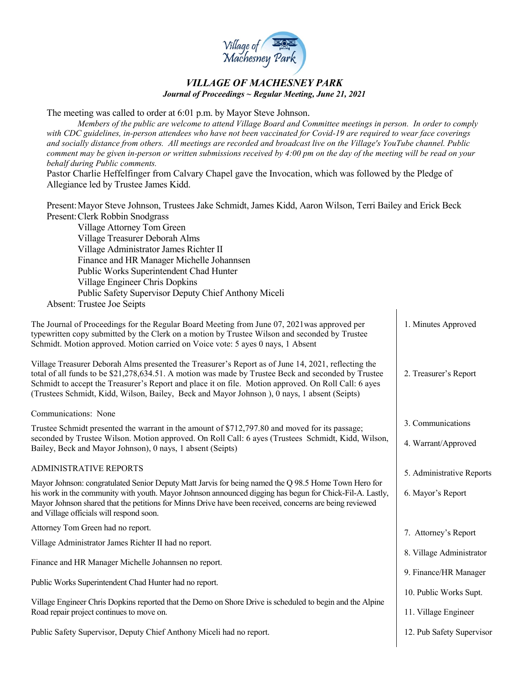

## *VILLAGE OF MACHESNEY PARK Journal of Proceedings ~ Regular Meeting, June 21, 2021*

The meeting was called to order at 6:01 p.m. by Mayor Steve Johnson.

*Members of the public are welcome to attend Village Board and Committee meetings in person. In order to comply with CDC guidelines, in-person attendees who have not been vaccinated for Covid-19 are required to wear face coverings and socially distance from others. All meetings are recorded and broadcast live on the Village's YouTube channel. Public comment may be given in-person or written submissions received by 4:00 pm on the day of the meeting will be read on your behalf during Public comments.*

Pastor Charlie Heffelfinger from Calvary Chapel gave the Invocation, which was followed by the Pledge of Allegiance led by Trustee James Kidd.

Present:Mayor Steve Johnson, Trustees Jake Schmidt, James Kidd, Aaron Wilson, Terri Bailey and Erick Beck Present:Clerk Robbin Snodgrass

 $\mathbf{I}$ 

Village Attorney Tom Green Village Treasurer Deborah Alms Village Administrator James Richter II Finance and HR Manager Michelle Johannsen Public Works Superintendent Chad Hunter Village Engineer Chris Dopkins Public Safety Supervisor Deputy Chief Anthony Miceli

Absent: Trustee Joe Seipts

| The Journal of Proceedings for the Regular Board Meeting from June 07, 2021 was approved per<br>typewritten copy submitted by the Clerk on a motion by Trustee Wilson and seconded by Trustee<br>Schmidt. Motion approved. Motion carried on Voice vote: 5 ayes 0 nays, 1 Absent                                                                                                                                  | 1. Minutes Approved       |
|-------------------------------------------------------------------------------------------------------------------------------------------------------------------------------------------------------------------------------------------------------------------------------------------------------------------------------------------------------------------------------------------------------------------|---------------------------|
| Village Treasurer Deborah Alms presented the Treasurer's Report as of June 14, 2021, reflecting the<br>total of all funds to be \$21,278,634.51. A motion was made by Trustee Beck and seconded by Trustee<br>Schmidt to accept the Treasurer's Report and place it on file. Motion approved. On Roll Call: 6 ayes<br>(Trustees Schmidt, Kidd, Wilson, Bailey, Beck and Mayor Johnson), 0 nays, 1 absent (Seipts) | 2. Treasurer's Report     |
| Communications: None                                                                                                                                                                                                                                                                                                                                                                                              |                           |
| Trustee Schmidt presented the warrant in the amount of \$712,797.80 and moved for its passage;                                                                                                                                                                                                                                                                                                                    | 3. Communications         |
| seconded by Trustee Wilson. Motion approved. On Roll Call: 6 ayes (Trustees Schmidt, Kidd, Wilson,<br>Bailey, Beck and Mayor Johnson), 0 nays, 1 absent (Seipts)                                                                                                                                                                                                                                                  | 4. Warrant/Approved       |
| <b>ADMINISTRATIVE REPORTS</b>                                                                                                                                                                                                                                                                                                                                                                                     | 5. Administrative Reports |
| Mayor Johnson: congratulated Senior Deputy Matt Jarvis for being named the Q 98.5 Home Town Hero for<br>his work in the community with youth. Mayor Johnson announced digging has begun for Chick-Fil-A. Lastly,<br>Mayor Johnson shared that the petitions for Minns Drive have been received, concerns are being reviewed<br>and Village officials will respond soon.                                           | 6. Mayor's Report         |
| Attorney Tom Green had no report.                                                                                                                                                                                                                                                                                                                                                                                 | 7. Attorney's Report      |
| Village Administrator James Richter II had no report.                                                                                                                                                                                                                                                                                                                                                             |                           |
| Finance and HR Manager Michelle Johannsen no report.                                                                                                                                                                                                                                                                                                                                                              | 8. Village Administrator  |
|                                                                                                                                                                                                                                                                                                                                                                                                                   | 9. Finance/HR Manager     |
| Public Works Superintendent Chad Hunter had no report.                                                                                                                                                                                                                                                                                                                                                            | 10. Public Works Supt.    |
| Village Engineer Chris Dopkins reported that the Demo on Shore Drive is scheduled to begin and the Alpine<br>Road repair project continues to move on.                                                                                                                                                                                                                                                            | 11. Village Engineer      |
| Public Safety Supervisor, Deputy Chief Anthony Miceli had no report.                                                                                                                                                                                                                                                                                                                                              | 12. Pub Safety Supervisor |
|                                                                                                                                                                                                                                                                                                                                                                                                                   |                           |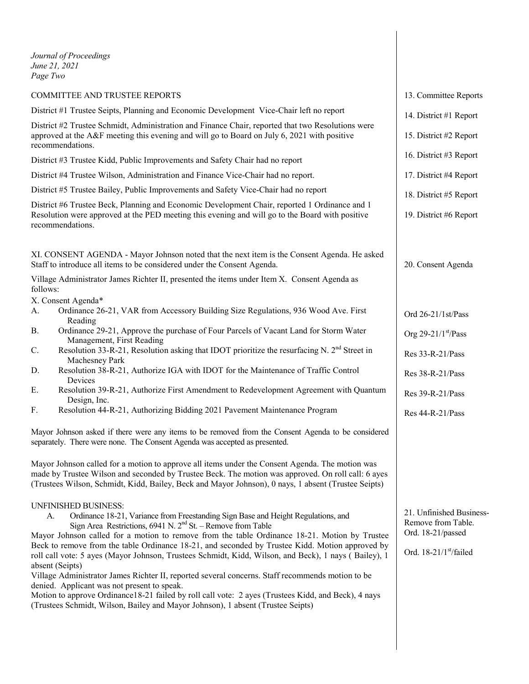*Journal of Proceedings June 21, 2021 Page Two*

## COMMITTEE AND TRUSTEE REPORTS

District #1 Trustee Seipts, Planning and Economic Development Vice-Chair left no report

District #2 Trustee Schmidt, Administration and Finance Chair, reported that two Resolutions were approved at the A&F meeting this evening and will go to Board on July 6, 2021 with positive recommendations.

13. Committee Reports

14. District #1 Report

15. District #2 Report

16. District #3 Report

17. District #4 Report

18. District #5 Report

19. District #6 Report

20. Consent Agenda

Ord 26-21/1st/Pass

Org  $29-21/1$ <sup>st</sup>/Pass

Res 33-R-21/Pass

Res 38-R-21/Pass

Res 39-R-21/Pass

Res 44-R-21/Pass

21. Unfinished Business-Remove from Table. Ord. 18-21/passed

Ord.  $18-21/1$ <sup>st</sup>/failed

District #3 Trustee Kidd, Public Improvements and Safety Chair had no report

District #4 Trustee Wilson, Administration and Finance Vice-Chair had no report.

District #5 Trustee Bailey, Public Improvements and Safety Vice-Chair had no report

District #6 Trustee Beck, Planning and Economic Development Chair, reported 1 Ordinance and 1 Resolution were approved at the PED meeting this evening and will go to the Board with positive recommendations.

XI. CONSENT AGENDA - Mayor Johnson noted that the next item is the Consent Agenda. He asked Staff to introduce all items to be considered under the Consent Agenda.

Village Administrator James Richter II, presented the items under Item X. Consent Agenda as follows:

X. Consent Agenda\*

- A. Ordinance 26-21, VAR from Accessory Building Size Regulations, 936 Wood Ave. First Reading
- B. Ordinance 29-21, Approve the purchase of Four Parcels of Vacant Land for Storm Water Management, First Reading
- C. Resolution 33-R-21, Resolution asking that IDOT prioritize the resurfacing N.  $2^{nd}$  Street in Machesney Park
- D. Resolution 38-R-21, Authorize IGA with IDOT for the Maintenance of Traffic Control Devices
- E. Resolution 39-R-21, Authorize First Amendment to Redevelopment Agreement with Quantum Design, Inc.
- F. Resolution 44-R-21, Authorizing Bidding 2021 Pavement Maintenance Program

Mayor Johnson asked if there were any items to be removed from the Consent Agenda to be considered separately. There were none. The Consent Agenda was accepted as presented.

Mayor Johnson called for a motion to approve all items under the Consent Agenda. The motion was made by Trustee Wilson and seconded by Trustee Beck. The motion was approved. On roll call: 6 ayes (Trustees Wilson, Schmidt, Kidd, Bailey, Beck and Mayor Johnson), 0 nays, 1 absent (Trustee Seipts)

## UNFINISHED BUSINESS:

A. Ordinance 18-21, Variance from Freestanding Sign Base and Height Regulations, and Sign Area Restrictions, 6941 N.  $2<sup>nd</sup>$  St. – Remove from Table

Mayor Johnson called for a motion to remove from the table Ordinance 18-21. Motion by Trustee Beck to remove from the table Ordinance 18-21, and seconded by Trustee Kidd. Motion approved by roll call vote: 5 ayes (Mayor Johnson, Trustees Schmidt, Kidd, Wilson, and Beck), 1 nays ( Bailey), 1 absent (Seipts)

Village Administrator James Richter II, reported several concerns. Staff recommends motion to be denied. Applicant was not present to speak.

Motion to approve Ordinance18-21 failed by roll call vote: 2 ayes (Trustees Kidd, and Beck), 4 nays (Trustees Schmidt, Wilson, Bailey and Mayor Johnson), 1 absent (Trustee Seipts)